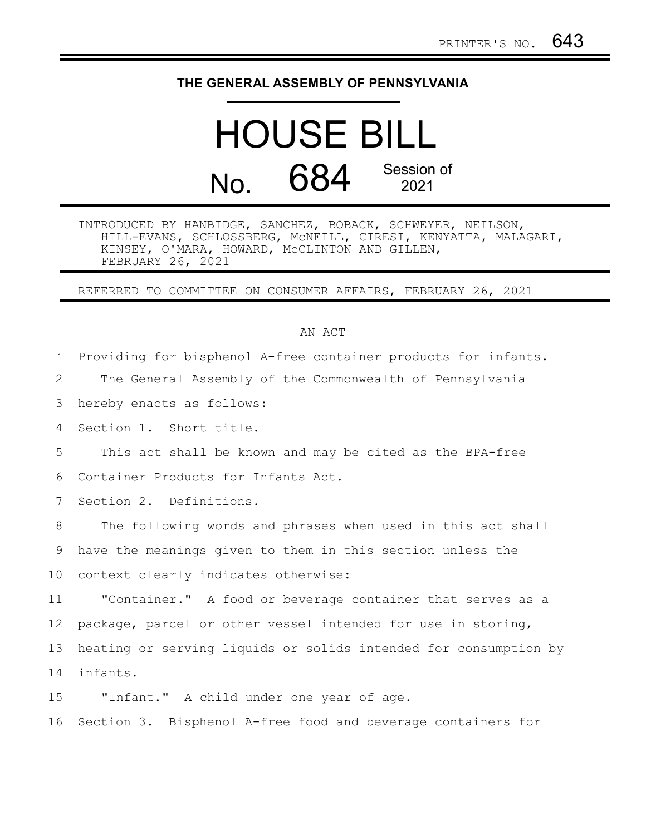## **THE GENERAL ASSEMBLY OF PENNSYLVANIA**

## HOUSE BILL  $N<sub>0</sub>$  684 Session of 2021

INTRODUCED BY HANBIDGE, SANCHEZ, BOBACK, SCHWEYER, NEILSON, HILL-EVANS, SCHLOSSBERG, McNEILL, CIRESI, KENYATTA, MALAGARI, KINSEY, O'MARA, HOWARD, McCLINTON AND GILLEN, FEBRUARY 26, 2021

REFERRED TO COMMITTEE ON CONSUMER AFFAIRS, FEBRUARY 26, 2021

## AN ACT

Providing for bisphenol A-free container products for infants. 1

The General Assembly of the Commonwealth of Pennsylvania 2

hereby enacts as follows: 3

Section 1. Short title. 4

This act shall be known and may be cited as the BPA-free Container Products for Infants Act. 5 6

Section 2. Definitions. 7

The following words and phrases when used in this act shall have the meanings given to them in this section unless the context clearly indicates otherwise: 8 9 10

"Container." A food or beverage container that serves as a package, parcel or other vessel intended for use in storing, heating or serving liquids or solids intended for consumption by infants. 11 12 13 14

"Infant." A child under one year of age. 15

Section 3. Bisphenol A-free food and beverage containers for 16